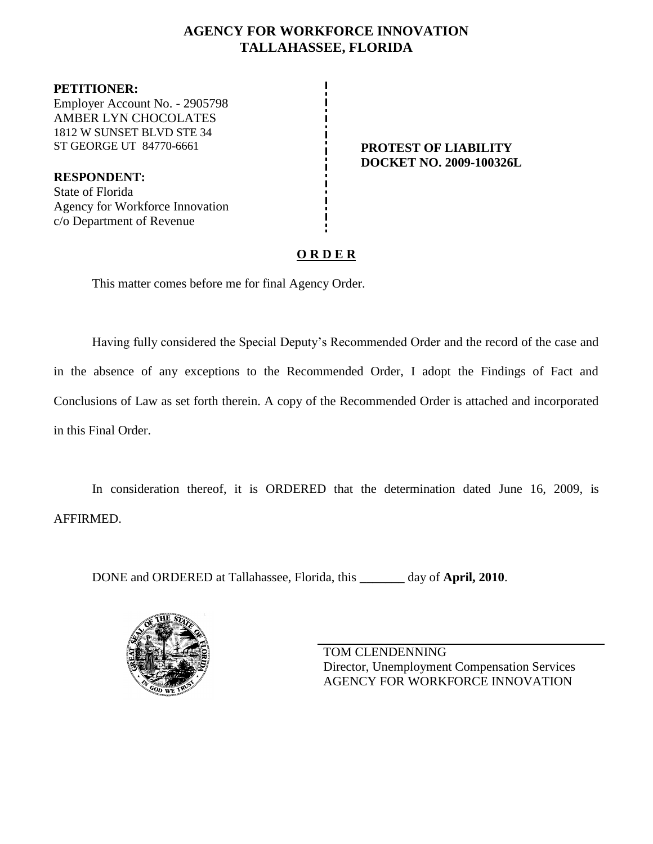## **AGENCY FOR WORKFORCE INNOVATION TALLAHASSEE, FLORIDA**

**PETITIONER:** Employer Account No. - 2905798 AMBER LYN CHOCOLATES 1812 W SUNSET BLVD STE 34 ST GEORGE UT 84770-6661 **PROTEST OF LIABILITY** 

**RESPONDENT:** State of Florida Agency for Workforce Innovation c/o Department of Revenue

**DOCKET NO. 2009-100326L**

## **O R D E R**

This matter comes before me for final Agency Order.

Having fully considered the Special Deputy's Recommended Order and the record of the case and in the absence of any exceptions to the Recommended Order, I adopt the Findings of Fact and Conclusions of Law as set forth therein. A copy of the Recommended Order is attached and incorporated in this Final Order.

In consideration thereof, it is ORDERED that the determination dated June 16, 2009, is AFFIRMED.

DONE and ORDERED at Tallahassee, Florida, this **\_\_\_\_\_\_\_** day of **April, 2010**.



TOM CLENDENNING Director, Unemployment Compensation Services AGENCY FOR WORKFORCE INNOVATION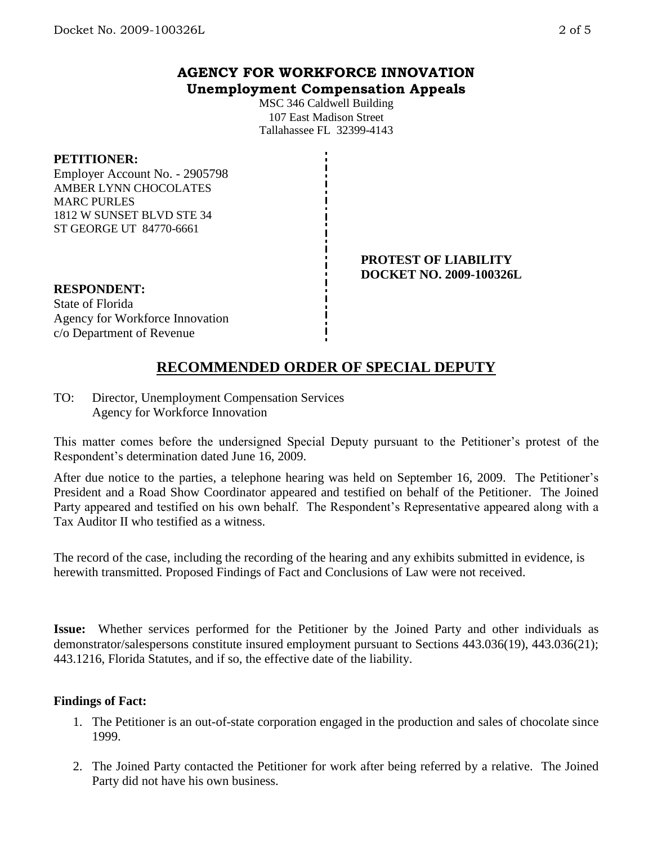## **AGENCY FOR WORKFORCE INNOVATION Unemployment Compensation Appeals**

MSC 346 Caldwell Building 107 East Madison Street Tallahassee FL 32399-4143

#### **PETITIONER:**

Employer Account No. - 2905798 AMBER LYNN CHOCOLATES MARC PURLES 1812 W SUNSET BLVD STE 34 ST GEORGE UT 84770-6661

#### **PROTEST OF LIABILITY DOCKET NO. 2009-100326L**

### **RESPONDENT:**

State of Florida Agency for Workforce Innovation c/o Department of Revenue

# **RECOMMENDED ORDER OF SPECIAL DEPUTY**

TO: Director, Unemployment Compensation Services Agency for Workforce Innovation

This matter comes before the undersigned Special Deputy pursuant to the Petitioner's protest of the Respondent's determination dated June 16, 2009.

After due notice to the parties, a telephone hearing was held on September 16, 2009. The Petitioner's President and a Road Show Coordinator appeared and testified on behalf of the Petitioner. The Joined Party appeared and testified on his own behalf. The Respondent's Representative appeared along with a Tax Auditor II who testified as a witness.

The record of the case, including the recording of the hearing and any exhibits submitted in evidence, is herewith transmitted. Proposed Findings of Fact and Conclusions of Law were not received.

**Issue:** Whether services performed for the Petitioner by the Joined Party and other individuals as demonstrator/salespersons constitute insured employment pursuant to Sections 443.036(19), 443.036(21); 443.1216, Florida Statutes, and if so, the effective date of the liability.

#### **Findings of Fact:**

- 1. The Petitioner is an out-of-state corporation engaged in the production and sales of chocolate since 1999.
- 2. The Joined Party contacted the Petitioner for work after being referred by a relative. The Joined Party did not have his own business.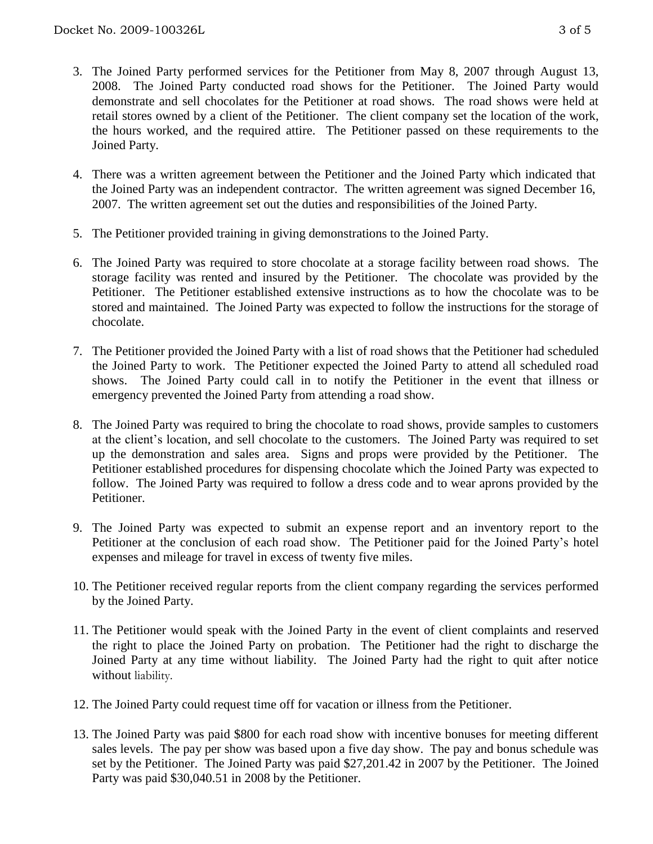- 3. The Joined Party performed services for the Petitioner from May 8, 2007 through August 13, 2008. The Joined Party conducted road shows for the Petitioner. The Joined Party would demonstrate and sell chocolates for the Petitioner at road shows. The road shows were held at retail stores owned by a client of the Petitioner. The client company set the location of the work, the hours worked, and the required attire. The Petitioner passed on these requirements to the Joined Party.
- 4. There was a written agreement between the Petitioner and the Joined Party which indicated that the Joined Party was an independent contractor. The written agreement was signed December 16, 2007. The written agreement set out the duties and responsibilities of the Joined Party.
- 5. The Petitioner provided training in giving demonstrations to the Joined Party.
- 6. The Joined Party was required to store chocolate at a storage facility between road shows. The storage facility was rented and insured by the Petitioner. The chocolate was provided by the Petitioner. The Petitioner established extensive instructions as to how the chocolate was to be stored and maintained. The Joined Party was expected to follow the instructions for the storage of chocolate.
- 7. The Petitioner provided the Joined Party with a list of road shows that the Petitioner had scheduled the Joined Party to work. The Petitioner expected the Joined Party to attend all scheduled road shows. The Joined Party could call in to notify the Petitioner in the event that illness or emergency prevented the Joined Party from attending a road show.
- 8. The Joined Party was required to bring the chocolate to road shows, provide samples to customers at the client's location, and sell chocolate to the customers. The Joined Party was required to set up the demonstration and sales area. Signs and props were provided by the Petitioner. The Petitioner established procedures for dispensing chocolate which the Joined Party was expected to follow. The Joined Party was required to follow a dress code and to wear aprons provided by the Petitioner.
- 9. The Joined Party was expected to submit an expense report and an inventory report to the Petitioner at the conclusion of each road show. The Petitioner paid for the Joined Party's hotel expenses and mileage for travel in excess of twenty five miles.
- 10. The Petitioner received regular reports from the client company regarding the services performed by the Joined Party.
- 11. The Petitioner would speak with the Joined Party in the event of client complaints and reserved the right to place the Joined Party on probation. The Petitioner had the right to discharge the Joined Party at any time without liability. The Joined Party had the right to quit after notice without liability.
- 12. The Joined Party could request time off for vacation or illness from the Petitioner.
- 13. The Joined Party was paid \$800 for each road show with incentive bonuses for meeting different sales levels. The pay per show was based upon a five day show. The pay and bonus schedule was set by the Petitioner. The Joined Party was paid \$27,201.42 in 2007 by the Petitioner. The Joined Party was paid \$30,040.51 in 2008 by the Petitioner.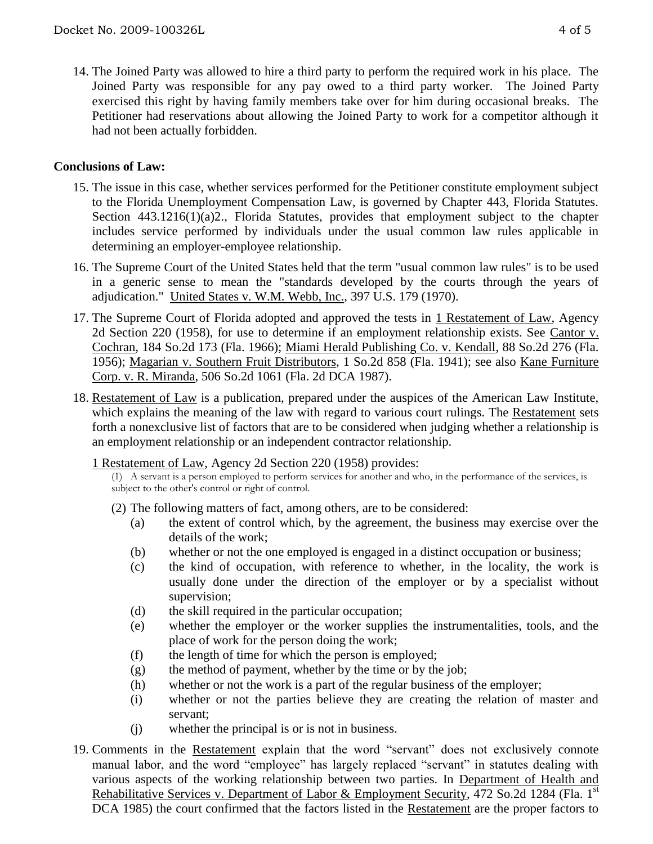14. The Joined Party was allowed to hire a third party to perform the required work in his place. The Joined Party was responsible for any pay owed to a third party worker. The Joined Party exercised this right by having family members take over for him during occasional breaks. The Petitioner had reservations about allowing the Joined Party to work for a competitor although it had not been actually forbidden.

## **Conclusions of Law:**

- 15. The issue in this case, whether services performed for the Petitioner constitute employment subject to the Florida Unemployment Compensation Law, is governed by Chapter 443, Florida Statutes. Section 443.1216(1)(a)2., Florida Statutes, provides that employment subject to the chapter includes service performed by individuals under the usual common law rules applicable in determining an employer-employee relationship.
- 16. The Supreme Court of the United States held that the term "usual common law rules" is to be used in a generic sense to mean the "standards developed by the courts through the years of adjudication." United States v. W.M. Webb, Inc., 397 U.S. 179 (1970).
- 17. The Supreme Court of Florida adopted and approved the tests in 1 Restatement of Law, Agency 2d Section 220 (1958), for use to determine if an employment relationship exists. See Cantor v. Cochran, 184 So.2d 173 (Fla. 1966); Miami Herald Publishing Co. v. Kendall, 88 So.2d 276 (Fla. 1956); Magarian v. Southern Fruit Distributors, 1 So.2d 858 (Fla. 1941); see also Kane Furniture Corp. v. R. Miranda, 506 So.2d 1061 (Fla. 2d DCA 1987).
- 18. Restatement of Law is a publication, prepared under the auspices of the American Law Institute, which explains the meaning of the law with regard to various court rulings. The Restatement sets forth a nonexclusive list of factors that are to be considered when judging whether a relationship is an employment relationship or an independent contractor relationship.
	- 1 Restatement of Law, Agency 2d Section 220 (1958) provides:
		- (1) A servant is a person employed to perform services for another and who, in the performance of the services, is subject to the other's control or right of control.
		- (2) The following matters of fact, among others, are to be considered:
			- (a) the extent of control which, by the agreement, the business may exercise over the details of the work;
			- (b) whether or not the one employed is engaged in a distinct occupation or business;
			- (c) the kind of occupation, with reference to whether, in the locality, the work is usually done under the direction of the employer or by a specialist without supervision;
			- (d) the skill required in the particular occupation;
			- (e) whether the employer or the worker supplies the instrumentalities, tools, and the place of work for the person doing the work;
			- (f) the length of time for which the person is employed;
			- (g) the method of payment, whether by the time or by the job;
			- (h) whether or not the work is a part of the regular business of the employer;
			- (i) whether or not the parties believe they are creating the relation of master and servant;
			- (j) whether the principal is or is not in business.
- 19. Comments in the Restatement explain that the word "servant" does not exclusively connote manual labor, and the word "employee" has largely replaced "servant" in statutes dealing with various aspects of the working relationship between two parties. In Department of Health and Rehabilitative Services v. Department of Labor & Employment Security, 472 So.2d 1284 (Fla. 1<sup>st</sup> DCA 1985) the court confirmed that the factors listed in the Restatement are the proper factors to